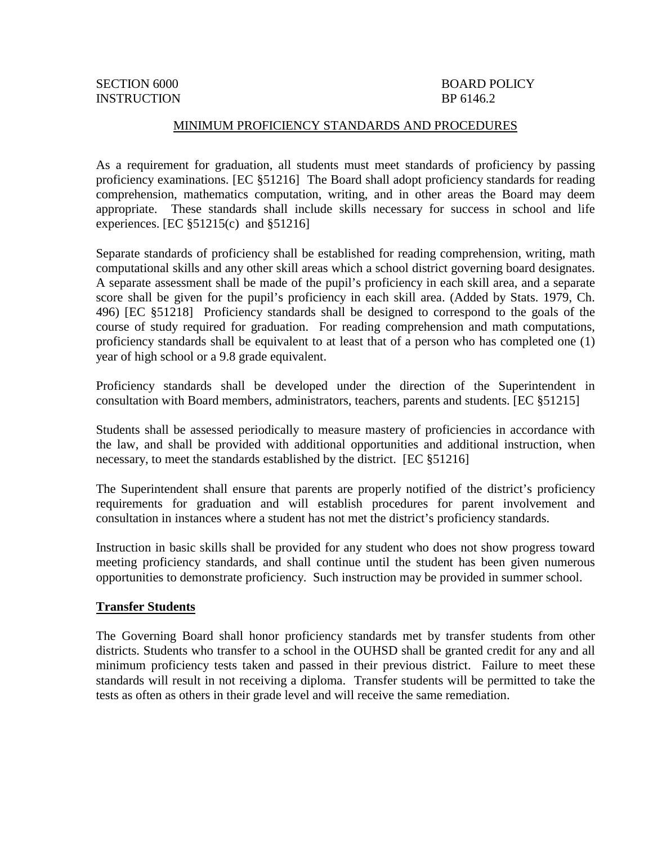INSTRUCTION BP 6146.2

# SECTION 6000 BOARD POLICY

#### MINIMUM PROFICIENCY STANDARDS AND PROCEDURES

As a requirement for graduation, all students must meet standards of proficiency by passing proficiency examinations. [EC §51216] The Board shall adopt proficiency standards for reading comprehension, mathematics computation, writing, and in other areas the Board may deem appropriate. These standards shall include skills necessary for success in school and life experiences. [EC  $\S 51215(c)$  and  $\S 51216$ ]

Separate standards of proficiency shall be established for reading comprehension, writing, math computational skills and any other skill areas which a school district governing board designates. A separate assessment shall be made of the pupil's proficiency in each skill area, and a separate score shall be given for the pupil's proficiency in each skill area. (Added by Stats. 1979, Ch. 496) [EC §51218] Proficiency standards shall be designed to correspond to the goals of the course of study required for graduation. For reading comprehension and math computations, proficiency standards shall be equivalent to at least that of a person who has completed one (1) year of high school or a 9.8 grade equivalent.

Proficiency standards shall be developed under the direction of the Superintendent in consultation with Board members, administrators, teachers, parents and students. [EC §51215]

Students shall be assessed periodically to measure mastery of proficiencies in accordance with the law, and shall be provided with additional opportunities and additional instruction, when necessary, to meet the standards established by the district. [EC §51216]

The Superintendent shall ensure that parents are properly notified of the district's proficiency requirements for graduation and will establish procedures for parent involvement and consultation in instances where a student has not met the district's proficiency standards.

Instruction in basic skills shall be provided for any student who does not show progress toward meeting proficiency standards, and shall continue until the student has been given numerous opportunities to demonstrate proficiency. Such instruction may be provided in summer school.

#### **Transfer Students**

The Governing Board shall honor proficiency standards met by transfer students from other districts. Students who transfer to a school in the OUHSD shall be granted credit for any and all minimum proficiency tests taken and passed in their previous district. Failure to meet these standards will result in not receiving a diploma. Transfer students will be permitted to take the tests as often as others in their grade level and will receive the same remediation.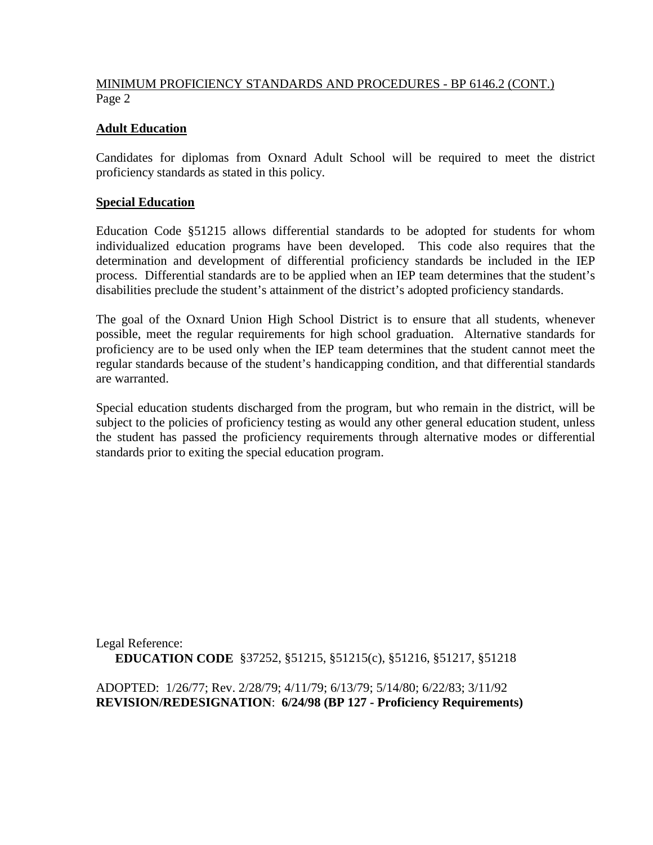## MINIMUM PROFICIENCY STANDARDS AND PROCEDURES - BP 6146.2 (CONT.) Page 2

## **Adult Education**

Candidates for diplomas from Oxnard Adult School will be required to meet the district proficiency standards as stated in this policy.

#### **Special Education**

Education Code §51215 allows differential standards to be adopted for students for whom individualized education programs have been developed. This code also requires that the determination and development of differential proficiency standards be included in the IEP process. Differential standards are to be applied when an IEP team determines that the student's disabilities preclude the student's attainment of the district's adopted proficiency standards.

The goal of the Oxnard Union High School District is to ensure that all students, whenever possible, meet the regular requirements for high school graduation. Alternative standards for proficiency are to be used only when the IEP team determines that the student cannot meet the regular standards because of the student's handicapping condition, and that differential standards are warranted.

Special education students discharged from the program, but who remain in the district, will be subject to the policies of proficiency testing as would any other general education student, unless the student has passed the proficiency requirements through alternative modes or differential standards prior to exiting the special education program.

Legal Reference: **EDUCATION CODE** §37252, §51215, §51215(c), §51216, §51217, §51218

ADOPTED: 1/26/77; Rev. 2/28/79; 4/11/79; 6/13/79; 5/14/80; 6/22/83; 3/11/92 **REVISION/REDESIGNATION**: **6/24/98 (BP 127 - Proficiency Requirements)**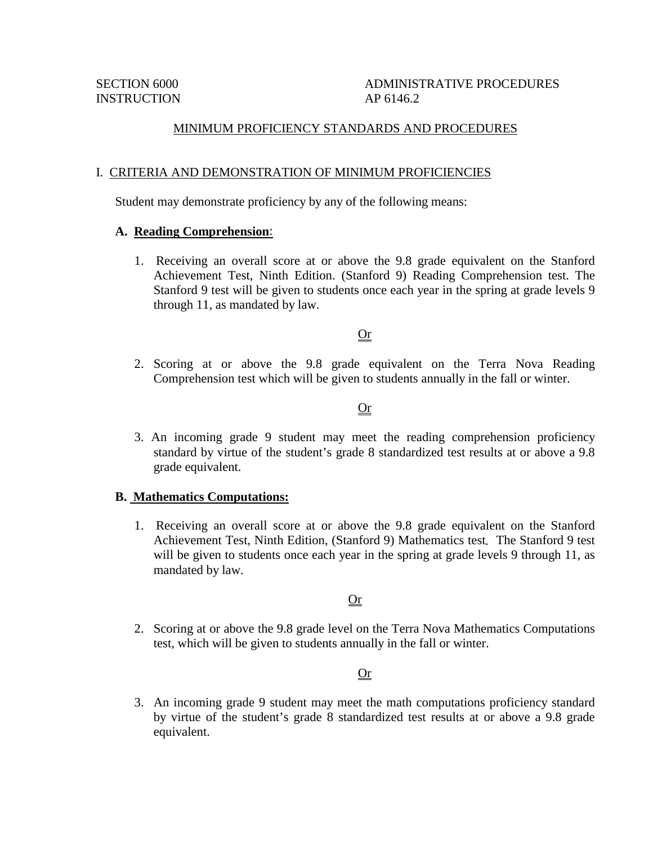# SECTION 6000 ADMINISTRATIVE PROCEDURES

#### MINIMUM PROFICIENCY STANDARDS AND PROCEDURES

#### I. CRITERIA AND DEMONSTRATION OF MINIMUM PROFICIENCIES

Student may demonstrate proficiency by any of the following means:

#### **A. Reading Comprehension**:

1. Receiving an overall score at or above the 9.8 grade equivalent on the Stanford Achievement Test, Ninth Edition. (Stanford 9) Reading Comprehension test. The Stanford 9 test will be given to students once each year in the spring at grade levels 9 through 11, as mandated by law.

#### Or

2. Scoring at or above the 9.8 grade equivalent on the Terra Nova Reading Comprehension test which will be given to students annually in the fall or winter.

#### Or

3. An incoming grade 9 student may meet the reading comprehension proficiency standard by virtue of the student's grade 8 standardized test results at or above a 9.8 grade equivalent.

#### **B. Mathematics Computations:**

1. Receiving an overall score at or above the 9.8 grade equivalent on the Stanford Achievement Test, Ninth Edition, (Stanford 9) Mathematics test*.* The Stanford 9 test will be given to students once each year in the spring at grade levels 9 through 11, as mandated by law.

#### Or

2. Scoring at or above the 9.8 grade level on the Terra Nova Mathematics Computations test, which will be given to students annually in the fall or winter.

## Or

3. An incoming grade 9 student may meet the math computations proficiency standard by virtue of the student's grade 8 standardized test results at or above a 9.8 grade equivalent.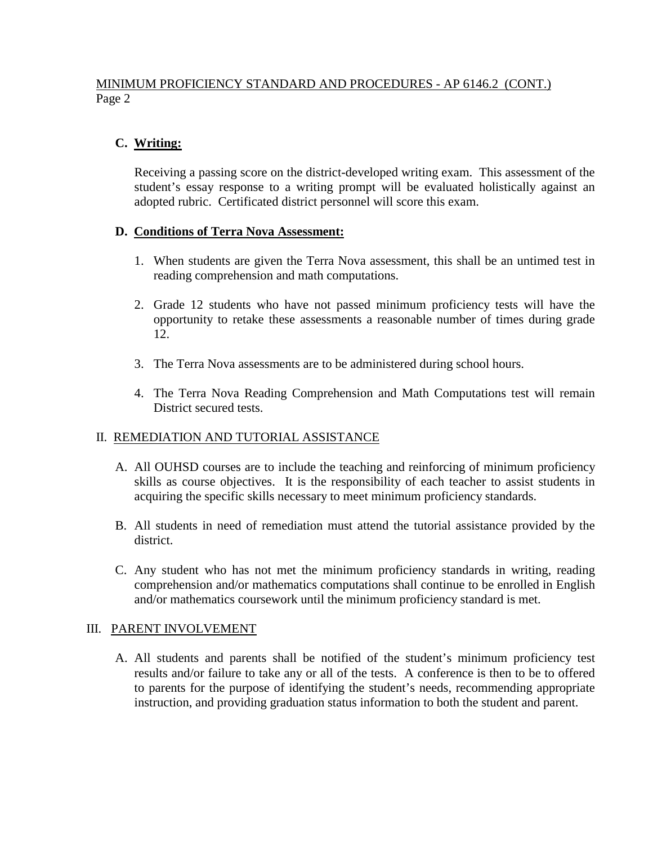# MINIMUM PROFICIENCY STANDARD AND PROCEDURES - AP 6146.2 (CONT.) Page 2

# **C. Writing:**

Receiving a passing score on the district-developed writing exam. This assessment of the student's essay response to a writing prompt will be evaluated holistically against an adopted rubric. Certificated district personnel will score this exam.

## **D. Conditions of Terra Nova Assessment:**

- 1. When students are given the Terra Nova assessment, this shall be an untimed test in reading comprehension and math computations.
- 2. Grade 12 students who have not passed minimum proficiency tests will have the opportunity to retake these assessments a reasonable number of times during grade 12.
- 3. The Terra Nova assessments are to be administered during school hours.
- 4. The Terra Nova Reading Comprehension and Math Computations test will remain District secured tests.

# II. REMEDIATION AND TUTORIAL ASSISTANCE

- A. All OUHSD courses are to include the teaching and reinforcing of minimum proficiency skills as course objectives. It is the responsibility of each teacher to assist students in acquiring the specific skills necessary to meet minimum proficiency standards.
- B. All students in need of remediation must attend the tutorial assistance provided by the district.
- C. Any student who has not met the minimum proficiency standards in writing, reading comprehension and/or mathematics computations shall continue to be enrolled in English and/or mathematics coursework until the minimum proficiency standard is met.

## III. PARENT INVOLVEMENT

A. All students and parents shall be notified of the student's minimum proficiency test results and/or failure to take any or all of the tests. A conference is then to be to offered to parents for the purpose of identifying the student's needs, recommending appropriate instruction, and providing graduation status information to both the student and parent.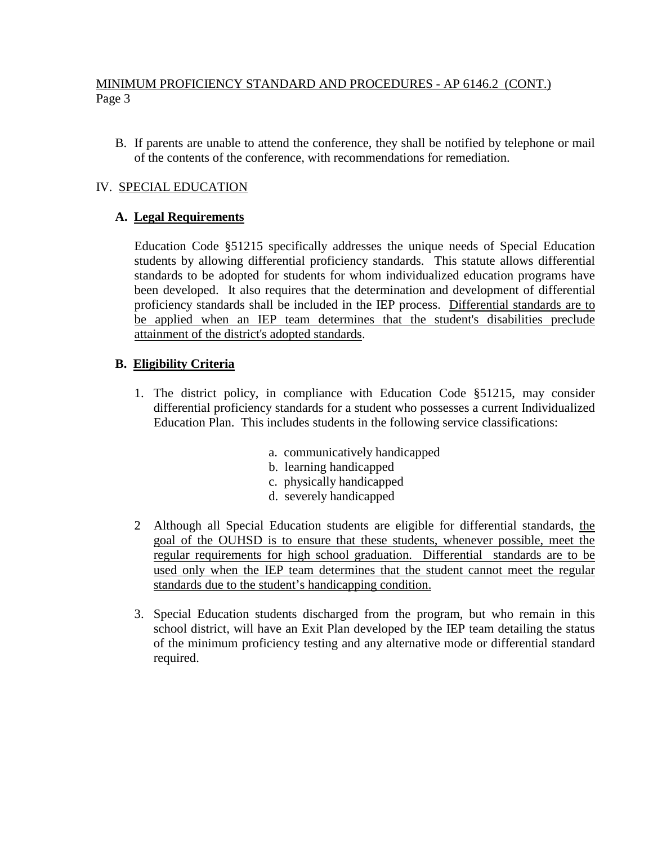# MINIMUM PROFICIENCY STANDARD AND PROCEDURES - AP 6146.2 (CONT.) Page 3

B. If parents are unable to attend the conference, they shall be notified by telephone or mail of the contents of the conference, with recommendations for remediation.

# IV. SPECIAL EDUCATION

## **A. Legal Requirements**

 Education Code §51215 specifically addresses the unique needs of Special Education students by allowing differential proficiency standards. This statute allows differential standards to be adopted for students for whom individualized education programs have been developed. It also requires that the determination and development of differential proficiency standards shall be included in the IEP process. Differential standards are to be applied when an IEP team determines that the student's disabilities preclude attainment of the district's adopted standards.

## **B. Eligibility Criteria**

- 1. The district policy, in compliance with Education Code §51215, may consider differential proficiency standards for a student who possesses a current Individualized Education Plan. This includes students in the following service classifications:
	- a. communicatively handicapped
	- b. learning handicapped
	- c. physically handicapped
	- d. severely handicapped
- 2 Although all Special Education students are eligible for differential standards, the goal of the OUHSD is to ensure that these students, whenever possible, meet the regular requirements for high school graduation. Differential standards are to be used only when the IEP team determines that the student cannot meet the regular standards due to the student's handicapping condition.
- 3. Special Education students discharged from the program, but who remain in this school district, will have an Exit Plan developed by the IEP team detailing the status of the minimum proficiency testing and any alternative mode or differential standard required.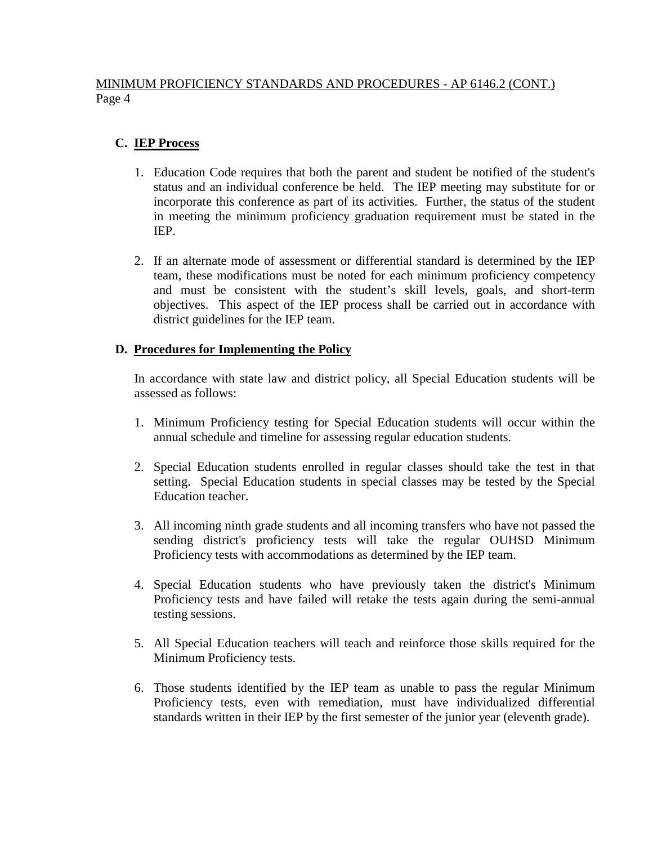# MINIMUM PROFICIENCY STANDARDS AND PROCEDURES - AP 6146.2 (CONT.) Page 4

# **C. IEP Process**

- 1. Education Code requires that both the parent and student be notified of the student's status and an individual conference be held. The IEP meeting may substitute for or incorporate this conference as part of its activities. Further, the status of the student in meeting the minimum proficiency graduation requirement must be stated in the IEP.
- 2. If an alternate mode of assessment or differential standard is determined by the IEP team, these modifications must be noted for each minimum proficiency competency and must be consistent with the student's skill levels*,* goals, and short-term objectives. This aspect of the IEP process shall be carried out in accordance with district guidelines for the IEP team.

## **D. Procedures for Implementing the Policy**

In accordance with state law and district policy, all Special Education students will be assessed as follows:

- 1. Minimum Proficiency testing for Special Education students will occur within the annual schedule and timeline for assessing regular education students.
- 2. Special Education students enrolled in regular classes should take the test in that setting. Special Education students in special classes may be tested by the Special Education teacher.
- 3. All incoming ninth grade students and all incoming transfers who have not passed the sending district's proficiency tests will take the regular OUHSD Minimum Proficiency tests with accommodations as determined by the IEP team.
- 4. Special Education students who have previously taken the district's Minimum Proficiency tests and have failed will retake the tests again during the semi-annual testing sessions.
- 5. All Special Education teachers will teach and reinforce those skills required for the Minimum Proficiency tests.
- 6. Those students identified by the IEP team as unable to pass the regular Minimum Proficiency tests, even with remediation, must have individualized differential standards written in their IEP by the first semester of the junior year (eleventh grade).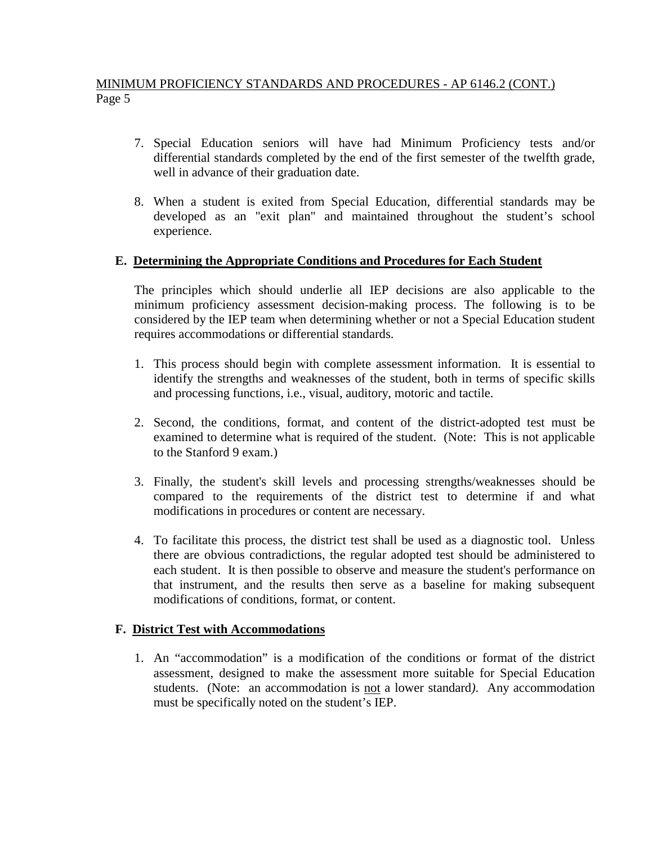# MINIMUM PROFICIENCY STANDARDS AND PROCEDURES - AP 6146.2 (CONT.) Page 5

- 7. Special Education seniors will have had Minimum Proficiency tests and/or differential standards completed by the end of the first semester of the twelfth grade, well in advance of their graduation date.
- 8. When a student is exited from Special Education*,* differential standards may be developed as an "exit plan" and maintained throughout the student's school experience.

#### **E. Determining the Appropriate Conditions and Procedures for Each Student**

The principles which should underlie all IEP decisions are also applicable to the minimum proficiency assessment decision-making process. The following is to be considered by the IEP team when determining whether or not a Special Education student requires accommodations or differential standards.

- 1. This process should begin with complete assessment information. It is essential to identify the strengths and weaknesses of the student, both in terms of specific skills and processing functions, i.e., visual, auditory, motoric and tactile.
- 2. Second, the conditions, format, and content of the district-adopted test must be examined to determine what is required of the student. (Note: This is not applicable to the Stanford 9 exam.)
- 3. Finally, the student's skill levels and processing strengths/weaknesses should be compared to the requirements of the district test to determine if and what modifications in procedures or content are necessary.
- 4. To facilitate this process, the district test shall be used as a diagnostic tool. Unless there are obvious contradictions, the regular adopted test should be administered to each student. It is then possible to observe and measure the student's performance on that instrument, and the results then serve as a baseline for making subsequent modifications of conditions, format, or content.

#### **F. District Test with Accommodations**

1. An "accommodation" is a modification of the conditions or format of the district assessment, designed to make the assessment more suitable for Special Education students. (Note: an accommodation is not a lower standard*)*. Any accommodation must be specifically noted on the student's IEP.